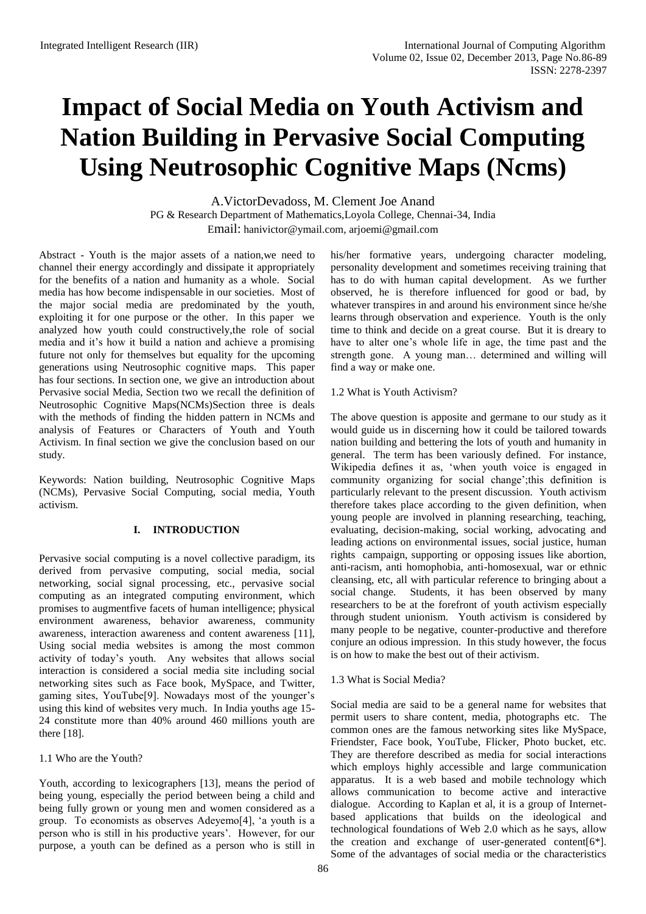# **Impact of Social Media on Youth Activism and Nation Building in Pervasive Social Computing Using Neutrosophic Cognitive Maps (Ncms)**

A.VictorDevadoss, M. Clement Joe Anand PG & Research Department of Mathematics,Loyola College, Chennai-34, India Email: [hanivictor@ymail.com,](mailto:hanivictor@ymail.com) [arjoemi@gmail.com](mailto:arjoemi@gmail.com)

Abstract - Youth is the major assets of a nation,we need to channel their energy accordingly and dissipate it appropriately for the benefits of a nation and humanity as a whole. Social media has how become indispensable in our societies. Most of the major social media are predominated by the youth, exploiting it for one purpose or the other. In this paper we analyzed how youth could constructively,the role of social media and it's how it build a nation and achieve a promising future not only for themselves but equality for the upcoming generations using Neutrosophic cognitive maps. This paper has four sections. In section one, we give an introduction about Pervasive social Media, Section two we recall the definition of Neutrosophic Cognitive Maps(NCMs)Section three is deals with the methods of finding the hidden pattern in NCMs and analysis of Features or Characters of Youth and Youth Activism. In final section we give the conclusion based on our study.

Keywords: Nation building, Neutrosophic Cognitive Maps (NCMs), Pervasive Social Computing, social media, Youth activism.

# **I. INTRODUCTION**

Pervasive social computing is a novel collective paradigm, its derived from pervasive computing, social media, social networking, social signal processing, etc., pervasive social computing as an integrated computing environment, which promises to augmentfive facets of human intelligence; physical environment awareness, behavior awareness, community awareness, interaction awareness and content awareness [11], Using social media websites is among the most common activity of today's youth. Any websites that allows social interaction is considered a social media site including social networking sites such as Face book, MySpace, and Twitter, gaming sites, YouTube[9]. Nowadays most of the younger's using this kind of websites very much. In India youths age 15- 24 constitute more than 40% around 460 millions youth are there [18].

# 1.1 Who are the Youth?

Youth, according to lexicographers [13], means the period of being young, especially the period between being a child and being fully grown or young men and women considered as a group. To economists as observes Adeyemo[4], 'a youth is a person who is still in his productive years'. However, for our purpose, a youth can be defined as a person who is still in his/her formative years, undergoing character modeling, personality development and sometimes receiving training that has to do with human capital development. As we further observed, he is therefore influenced for good or bad, by whatever transpires in and around his environment since he/she learns through observation and experience. Youth is the only time to think and decide on a great course. But it is dreary to have to alter one's whole life in age, the time past and the strength gone. A young man… determined and willing will find a way or make one.

# 1.2 What is Youth Activism?

The above question is apposite and germane to our study as it would guide us in discerning how it could be tailored towards nation building and bettering the lots of youth and humanity in general. The term has been variously defined. For instance, Wikipedia defines it as, 'when youth voice is engaged in community organizing for social change';this definition is particularly relevant to the present discussion. Youth activism therefore takes place according to the given definition, when young people are involved in planning researching, teaching, evaluating, decision-making, social working, advocating and leading actions on environmental issues, social justice, human rights campaign, supporting or opposing issues like abortion, anti-racism, anti homophobia, anti-homosexual, war or ethnic cleansing, etc, all with particular reference to bringing about a social change. Students, it has been observed by many researchers to be at the forefront of youth activism especially through student unionism. Youth activism is considered by many people to be negative, counter-productive and therefore conjure an odious impression. In this study however, the focus is on how to make the best out of their activism.

# 1.3 What is Social Media?

Social media are said to be a general name for websites that permit users to share content, media, photographs etc. The common ones are the famous networking sites like MySpace, Friendster, Face book, YouTube, Flicker, Photo bucket, etc. They are therefore described as media for social interactions which employs highly accessible and large communication apparatus. It is a web based and mobile technology which allows communication to become active and interactive dialogue. According to Kaplan et al, it is a group of Internetbased applications that builds on the ideological and technological foundations of Web 2.0 which as he says, allow the creation and exchange of user-generated content[6\*]. Some of the advantages of social media or the characteristics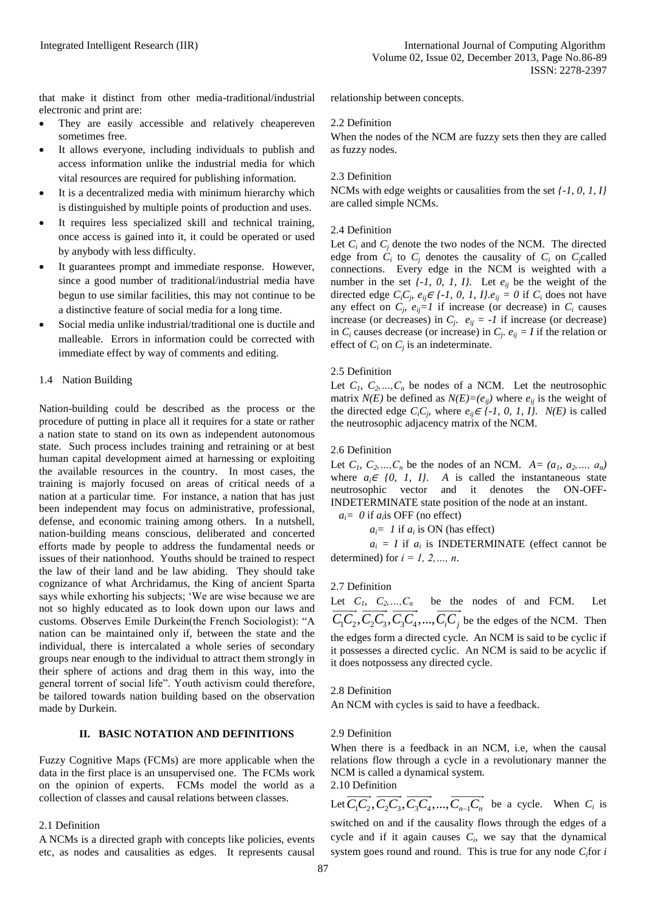that make it distinct from other media-traditional/industrial electronic and print are:

- They are easily accessible and relatively cheapereven sometimes free.
- It allows everyone, including individuals to publish and access information unlike the industrial media for which vital resources are required for publishing information.
- It is a decentralized media with minimum hierarchy which is distinguished by multiple points of production and uses.
- It requires less specialized skill and technical training, once access is gained into it, it could be operated or used by anybody with less difficulty.
- It guarantees prompt and immediate response. However, since a good number of traditional/industrial media have begun to use similar facilities, this may not continue to be a distinctive feature of social media for a long time.
- Social media unlike industrial/traditional one is ductile and malleable. Errors in information could be corrected with immediate effect by way of comments and editing.

# 1.4 Nation Building

Nation-building could be described as the process or the procedure of putting in place all it requires for a state or rather a nation state to stand on its own as independent autonomous state. Such process includes training and retraining or at best human capital development aimed at harnessing or exploiting the available resources in the country. In most cases, the training is majorly focused on areas of critical needs of a nation at a particular time. For instance, a nation that has just been independent may focus on administrative, professional, defense, and economic training among others. In a nutshell, nation-building means conscious, deliberated and concerted efforts made by people to address the fundamental needs or issues of their nationhood. Youths should be trained to respect the law of their land and be law abiding. They should take cognizance of what Archridamus, the King of ancient Sparta says while exhorting his subjects; 'We are wise because we are not so highly educated as to look down upon our laws and customs. Observes Emile Durkein(the French Sociologist): "A nation can be maintained only if, between the state and the individual, there is intercalated a whole series of secondary groups near enough to the individual to attract them strongly in their sphere of actions and drag them in this way, into the general torrent of social life". Youth activism could therefore, be tailored towards nation building based on the observation made by Durkein.

## **II. BASIC NOTATION AND DEFINITIONS**

Fuzzy Cognitive Maps (FCMs) are more applicable when the data in the first place is an unsupervised one. The FCMs work on the opinion of experts. FCMs model the world as a collection of classes and causal relations between classes.

## 2.1 Definition

A NCMs is a directed graph with concepts like policies, events etc, as nodes and causalities as edges. It represents causal relationship between concepts.

## 2.2 Definition

When the nodes of the NCM are fuzzy sets then they are called as fuzzy nodes.

## 2.3 Definition

NCMs with edge weights or causalities from the set *{-1, 0, 1, I}* are called simple NCMs.

## 2.4 Definition

Let  $C_i$  and  $C_j$  denote the two nodes of the NCM. The directed edge from  $C_i$  to  $C_j$  denotes the causality of  $C_i$  on  $C_j$ called connections. Every edge in the NCM is weighted with a number in the set  $\{-1, 0, 1, 1\}$ . Let  $e_{ii}$  be the weight of the directed edge  $C_iC_j$ ,  $e_{ij} \in \{-1, 0, 1, 1\}$ . $e_{ij} = 0$  if  $C_i$  does not have any effect on  $C_j$ ,  $e_{ij} = 1$  if increase (or decrease) in  $C_i$  causes increase (or decreases) in  $C_j$ .  $e_{ij} = -1$  if increase (or decrease) in  $C_i$  causes decrease (or increase) in  $C_j$ .  $e_{ij} = I$  if the relation or effect of  $C_i$  on  $C_j$  is an indeterminate.

## 2.5 Definition

Let  $C_1$ ,  $C_2$ , ...,  $C_n$  be nodes of a NCM. Let the neutrosophic matrix *N(E)* be defined as  $N(E)=(e_{ij})$  where  $e_{ij}$  is the weight of the directed edge  $C_iC_j$ , where  $e_{ij} \in \{-1, 0, 1, 1\}$ .  $N(E)$  is called the neutrosophic adjacency matrix of the NCM.

## 2.6 Definition

Let  $C_1$ ,  $C_2$ , ...,  $C_n$  be the nodes of an NCM.  $A = (a_1, a_2, ..., a_n)$ where  $a_i \in \{0, 1, 1\}$ . A is called the instantaneous state neutrosophic vector and it denotes the ON-OFF-INDETERMINATE state position of the node at an instant.

 $a_i = 0$  if  $a_i$  is OFF (no effect)

 $a_i = 1$  if  $a_i$  is ON (has effect)

 $a_i = I$  if  $a_i$  is INDETERMINATE (effect cannot be determined) for *i = 1, 2,…, n*.

## 2.7 Definition

Let  $C_1$ ,  $C_2$ , ...,  $C_n$  be the nodes of and FCM. Let  $\overrightarrow{C_1C_2}, \overrightarrow{C_2C_3}, \overrightarrow{C_3C_4}, ..., \overrightarrow{C_iC_j}$  be the edges of the NCM. Then the edges form a directed cycle. An NCM is said to be cyclic if it possesses a directed cyclic. An NCM is said to be acyclic if it does notpossess any directed cycle.

## 2.8 Definition

An NCM with cycles is said to have a feedback.

## 2.9 Definition

When there is a feedback in an NCM, i.e, when the causal relations flow through a cycle in a revolutionary manner the NCM is called a dynamical system. 2.10 Definition

Let  $\overrightarrow{C_1C_2}$ ,  $\overrightarrow{C_2C_3}$ ,  $\overrightarrow{C_3C_4}$ , ...,  $\overrightarrow{C_{n-1}C_n}$  be a cycle. When  $C_i$  is switched on and if the causality flows through the edges of a cycle and if it again causes  $C_i$ , we say that the dynamical system goes round and round. This is true for any node *Ci*for *i*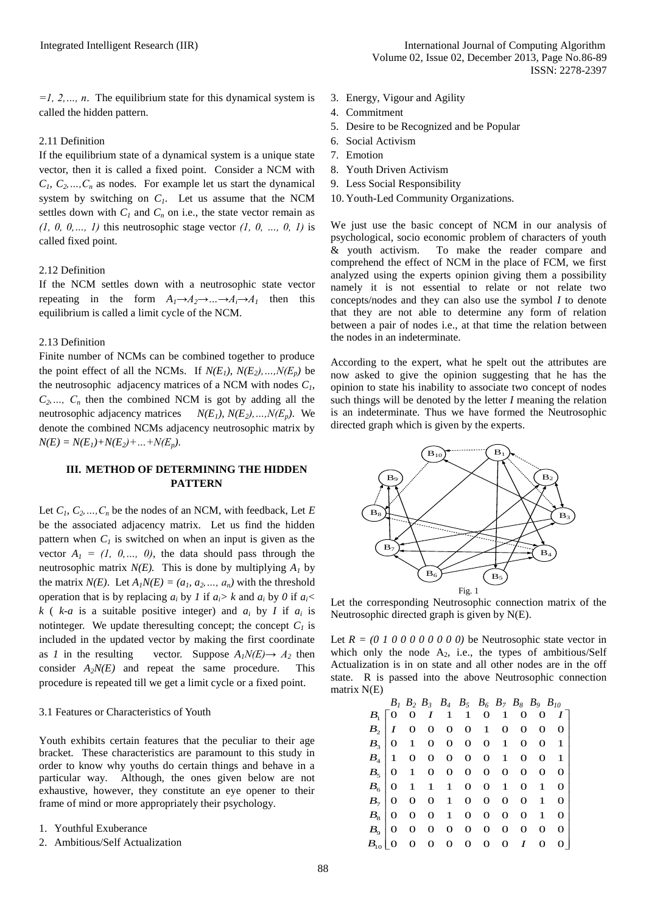*=1, 2,…, n*. The equilibrium state for this dynamical system is called the hidden pattern.

## 2.11 Definition

If the equilibrium state of a dynamical system is a unique state vector, then it is called a fixed point. Consider a NCM with  $C_1, C_2, \ldots, C_n$  as nodes. For example let us start the dynamical system by switching on *C1*. Let us assume that the NCM settles down with  $C_l$  and  $C_n$  on i.e., the state vector remain as *(1, 0, 0,…, 1)* this neutrosophic stage vector *(1, 0, …, 0, 1)* is called fixed point.

## 2.12 Definition

If the NCM settles down with a neutrosophic state vector repeating in the form  $A_1 \rightarrow A_2 \rightarrow ... \rightarrow A_i \rightarrow A_1$  then this equilibrium is called a limit cycle of the NCM.

## 2.13 Definition

Finite number of NCMs can be combined together to produce the point effect of all the NCMs. If  $N(E_1), N(E_2), ..., N(E_n)$  be the neutrosophic adjacency matrices of a NCM with nodes *C1,*   $C_2$ ,  $C_n$  then the combined NCM is got by adding all the neutrosophic adjacency matrices  $N(E_1)$ ,  $N(E_2)$ , ...,  $N(E_n)$ . We denote the combined NCMs adjacency neutrosophic matrix by  $N(E) = N(E_1) + N(E_2) + ... + N(E_p)$ .

# **III. METHOD OF DETERMINING THE HIDDEN PATTERN**

Let  $C_1, C_2, ..., C_n$  be the nodes of an NCM, with feedback, Let *E* be the associated adjacency matrix. Let us find the hidden pattern when  $C_l$  is switched on when an input is given as the vector  $A_1 = (1, 0, \ldots, 0)$ , the data should pass through the neutrosophic matrix  $N(E)$ . This is done by multiplying  $A<sub>I</sub>$  by the matrix  $N(E)$ . Let  $A_1N(E) = (a_1, a_2, ..., a_n)$  with the threshold operation that is by replacing  $a_i$  by *1* if  $a_i$  is  $k$  and  $a_i$  by *0* if  $a_i$  <  $k$  (  $k-a$  is a suitable positive integer) and  $a_i$  by *I* if  $a_i$  is notinteger. We update the resulting concept; the concept  $C<sub>1</sub>$  is included in the updated vector by making the first coordinate as *1* in the resulting vector. Suppose  $A_1N(E) \rightarrow A_2$  then consider  $A_2N(E)$  and repeat the same procedure. This procedure is repeated till we get a limit cycle or a fixed point.

## 3.1 Features or Characteristics of Youth

Youth exhibits certain features that the peculiar to their age bracket. These characteristics are paramount to this study in order to know why youths do certain things and behave in a particular way. Although, the ones given below are not exhaustive, however, they constitute an eye opener to their frame of mind or more appropriately their psychology.

- 1. Youthful Exuberance
- 2. Ambitious/Self Actualization
- 3. Energy, Vigour and Agility
- 4. Commitment
- 5. Desire to be Recognized and be Popular
- 6. Social Activism
- 7. Emotion
- 8. Youth Driven Activism
- 9. Less Social Responsibility
- 10. Youth-Led Community Organizations.

We just use the basic concept of NCM in our analysis of psychological, socio economic problem of characters of youth & youth activism. To make the reader compare and comprehend the effect of NCM in the place of FCM, we first analyzed using the experts opinion giving them a possibility namely it is not essential to relate or not relate two concepts/nodes and they can also use the symbol *I* to denote that they are not able to determine any form of relation between a pair of nodes i.e., at that time the relation between the nodes in an indeterminate.

According to the expert, what he spelt out the attributes are now asked to give the opinion suggesting that he has the opinion to state his inability to associate two concept of nodes such things will be denoted by the letter *I* meaning the relation is an indeterminate. Thus we have formed the Neutrosophic directed graph which is given by the experts.



Let the corresponding Neutrosophic connection matrix of the Neutrosophic directed graph is given by N(E).

Let  $R = (0 1 0 0 0 0 0 0 0 0)$  be Neutrosophic state vector in which only the node  $A_2$ , i.e., the types of ambitious/Self Actualization is in on state and all other nodes are in the off state. R is passed into the above Neutrosophic connection matrix N(E)

| шаніл і чер                   |         |                  |    |                  |              |              |              |              |                                              |   |   |
|-------------------------------|---------|------------------|----|------------------|--------------|--------------|--------------|--------------|----------------------------------------------|---|---|
|                               |         |                  |    |                  |              |              |              |              | $B_1 B_2 B_3 B_4 B_5 B_6 B_7 B_8 B_9 B_{10}$ |   |   |
| $B_{\scriptscriptstyle\rm I}$ |         | $\mathbf{O}$     | 0  | $\boldsymbol{I}$ |              | 1 1 0 1      |              |              | 0                                            | O |   |
| B <sub>2</sub>                |         | $\boldsymbol{I}$ | O  | 0                | $\mathbf{O}$ |              | $0 \quad 1$  | 0            | 0                                            | 0 | 0 |
|                               | $B_{3}$ | 0                | 1  | 0                | $\mathbf 0$  | $\mathbf 0$  | $\mathbf 0$  | $\mathbf{1}$ | 0                                            | O | 1 |
| $B_{4}$                       |         | 1                | 0  | 0                | 0            | 0            | $\mathbf 0$  | 1            | 0                                            | 0 | 1 |
| B <sub>5</sub>                |         | $\theta$         | 1  | $\mathbf 0$      | $\mathbf{O}$ |              | $0\quad 0$   | 0            | 0                                            | 0 | 0 |
| $B_{6}$                       |         | $\Omega$         | -1 | $\mathbf{1}$     | $\mathbf{1}$ | $\mathbf{O}$ | $\mathbf 0$  | 1            | 0                                            | 1 | 0 |
| $B_7$                         |         | 0                | 0  | 0                | $\mathbf{1}$ | $\mathbf{O}$ | $\mathbf 0$  | 0            | 0                                            | 1 | 0 |
| $B_{8}$                       |         | 0                | 0  | О                | $\mathbf{1}$ | 0            | $\mathbf 0$  | 0            | 0                                            | 1 | 0 |
| $B_{9}$                       |         | 0                | 0  | 0                | $\mathbf 0$  | 0            | $\mathbf{O}$ | $\mathbf 0$  | $\mathbf 0$                                  | O | 0 |
| $B_{\rm tr}$                  |         |                  | O  | 0                | 0            | 0            | $\mathbf{O}$ | 0            | I                                            | О |   |
|                               |         |                  |    |                  |              |              |              |              |                                              |   |   |